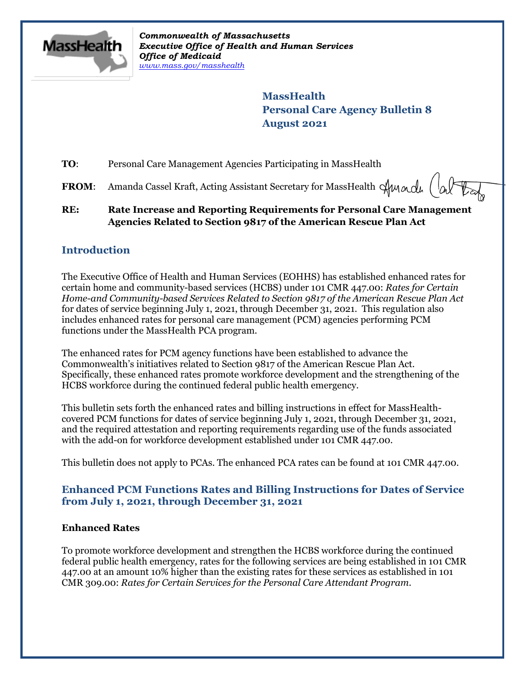

*Commonwealth of Massachusetts Executive Office of Health and Human Services Office of Medicaid [www.mass.gov/masshealth](http://www.mass.gov/masshealth)*

> **MassHealth Personal Care Agency Bulletin 8 August 2021**

**TO**: Personal Care Management Agencies Participating in MassHealth

**FROM:** Amanda Cassel Kraft, Acting Assistant Secretary for MassHealth  $\alpha$  /  $\beta$ 

### **RE: Rate Increase and Reporting Requirements for Personal Care Management Agencies Related to Section 9817 of the American Rescue Plan Act**

# **Introduction**

The Executive Office of Health and Human Services (EOHHS) has established enhanced rates for certain home and community-based services (HCBS) under 101 CMR 447.00: *Rates for Certain Home-and Community-based Services Related to Section 9817 of the American Rescue Plan Act* for dates of service beginning July 1, 2021, through December 31, 2021. This regulation also includes enhanced rates for personal care management (PCM) agencies performing PCM functions under the MassHealth PCA program.

The enhanced rates for PCM agency functions have been established to advance the Commonwealth's initiatives related to Section 9817 of the American Rescue Plan Act. Specifically, these enhanced rates promote workforce development and the strengthening of the HCBS workforce during the continued federal public health emergency.

This bulletin sets forth the enhanced rates and billing instructions in effect for MassHealthcovered PCM functions for dates of service beginning July 1, 2021, through December 31, 2021, and the required attestation and reporting requirements regarding use of the funds associated with the add-on for workforce development established under 101 CMR 447.00.

This bulletin does not apply to PCAs. The enhanced PCA rates can be found at 101 CMR 447.00.

# **Enhanced PCM Functions Rates and Billing Instructions for Dates of Service from July 1, 2021, through December 31, 2021**

### **Enhanced Rates**

To promote workforce development and strengthen the HCBS workforce during the continued federal public health emergency, rates for the following services are being established in 101 CMR 447.00 at an amount 10% higher than the existing rates for these services as established in 101 CMR 309.00: *Rates for Certain Services for the Personal Care Attendant Program*.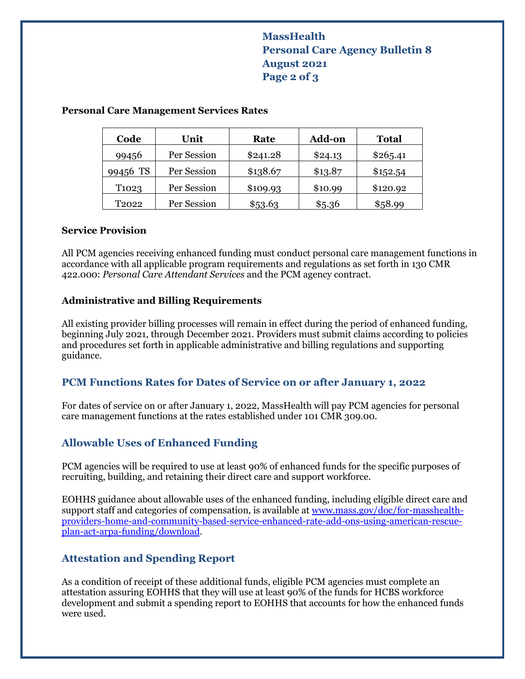# **MassHealth Personal Care Agency Bulletin 8 August 2021 Page 2 of 3**

| Code               | Unit        | Rate     | <b>Add-on</b> | <b>Total</b> |
|--------------------|-------------|----------|---------------|--------------|
| 99456              | Per Session | \$241.28 | \$24.13       | \$265.41     |
| 99456 TS           | Per Session | \$138.67 | \$13.87       | \$152.54     |
| T <sub>102</sub> 3 | Per Session | \$109.93 | \$10.99       | \$120.92     |
| T <sub>2022</sub>  | Per Session | \$53.63  | \$5.36        | \$58.99      |

### **Personal Care Management Services Rates**

#### **Service Provision**

All PCM agencies receiving enhanced funding must conduct personal care management functions in accordance with all applicable program requirements and regulations as set forth in 130 CMR 422.000: *Personal Care Attendant Services* and the PCM agency contract.

#### **Administrative and Billing Requirements**

All existing provider billing processes will remain in effect during the period of enhanced funding, beginning July 2021, through December 2021. Providers must submit claims according to policies and procedures set forth in applicable administrative and billing regulations and supporting guidance.

### **PCM Functions Rates for Dates of Service on or after January 1, 2022**

For dates of service on or after January 1, 2022, MassHealth will pay PCM agencies for personal care management functions at the rates established under 101 CMR 309.00.

### **Allowable Uses of Enhanced Funding**

PCM agencies will be required to use at least 90% of enhanced funds for the specific purposes of recruiting, building, and retaining their direct care and support workforce.

EOHHS guidance about allowable uses of the enhanced funding, including eligible direct care and support staff and categories of compensation, is available a[t www.mass.gov/doc/for-masshealth](https://www.mass.gov/doc/for-masshealth-providers-home-and-community-based-service-enhanced-rate-add-ons-using-american-rescue-plan-act-arpa-funding/download)[providers-home-and-community-based-service-enhanced-rate-add-ons-using-american-rescue](https://www.mass.gov/doc/for-masshealth-providers-home-and-community-based-service-enhanced-rate-add-ons-using-american-rescue-plan-act-arpa-funding/download)[plan-act-arpa-funding/download.](https://www.mass.gov/doc/for-masshealth-providers-home-and-community-based-service-enhanced-rate-add-ons-using-american-rescue-plan-act-arpa-funding/download)

### **Attestation and Spending Report**

As a condition of receipt of these additional funds, eligible PCM agencies must complete an attestation assuring EOHHS that they will use at least 90% of the funds for HCBS workforce development and submit a spending report to EOHHS that accounts for how the enhanced funds were used.